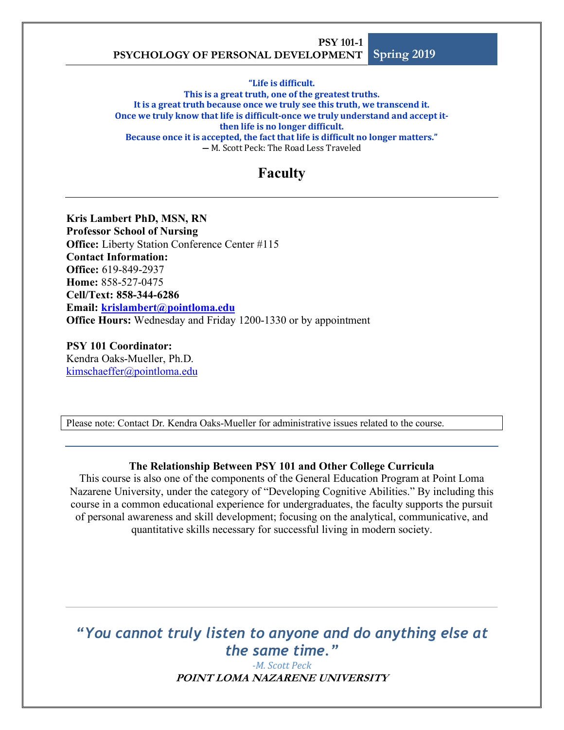"Life is difficult.

This is a great truth, one of the greatest truths. It is a great truth because once we truly see this truth, we transcend it. Once we truly know that life is difficult-once we truly understand and accept itthen life is no longer difficult. Because once it is accepted, the fact that life is difficult no longer matters." **―** M. Scott Peck: The Road Less Traveled

# **Faculty**

**Kris Lambert PhD, MSN, RN Professor School of Nursing Office:** Liberty Station Conference Center #115 **Contact Information: Office:** 619-849-2937 **Home:** 858-527-0475 **Cell/Text: 858-344-6286 Email: krislambert@pointloma.edu Office Hours:** Wednesday and Friday 1200-1330 or by appointment

**PSY 101 Coordinator:** Kendra Oaks-Mueller, Ph.D. kimschaeffer@pointloma.edu

Please note: Contact Dr. Kendra Oaks-Mueller for administrative issues related to the course.

#### **The Relationship Between PSY 101 and Other College Curricula**

This course is also one of the components of the General Education Program at Point Loma Nazarene University, under the category of "Developing Cognitive Abilities." By including this course in a common educational experience for undergraduates, the faculty supports the pursuit of personal awareness and skill development; focusing on the analytical, communicative, and quantitative skills necessary for successful living in modern society.

*"You cannot truly listen to anyone and do anything else at the same time."*

> **POINT LOMA NAZARENE UNIVERSITY** *-M. Scott Peck*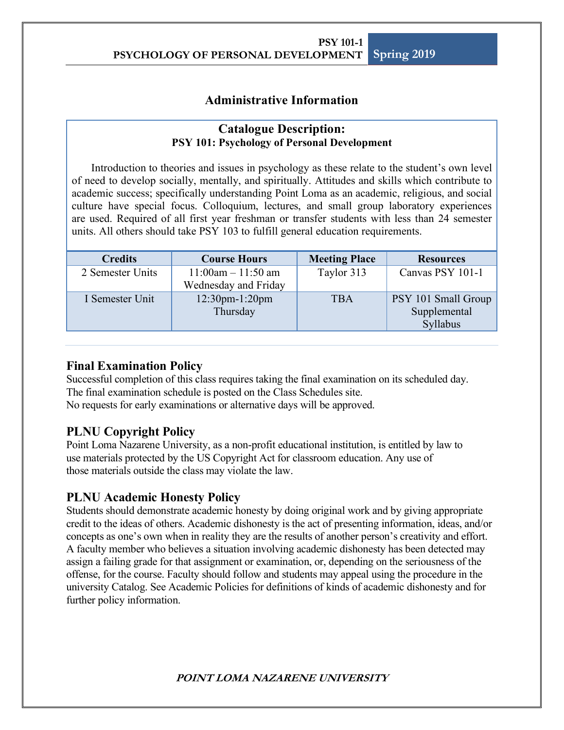## **Administrative Information**

### **Catalogue Description: PSY 101: Psychology of Personal Development**

Introduction to theories and issues in psychology as these relate to the student's own level of need to develop socially, mentally, and spiritually. Attitudes and skills which contribute to academic success; specifically understanding Point Loma as an academic, religious, and social culture have special focus. Colloquium, lectures, and small group laboratory experiences are used. Required of all first year freshman or transfer students with less than 24 semester units. All others should take PSY 103 to fulfill general education requirements.

| <b>Credits</b>   | <b>Course Hours</b>                             | <b>Meeting Place</b> | <b>Resources</b>                                |
|------------------|-------------------------------------------------|----------------------|-------------------------------------------------|
| 2 Semester Units | $11:00$ am $- 11:50$ am<br>Wednesday and Friday | Taylor 313           | Canvas PSY 101-1                                |
| I Semester Unit  | $12:30$ pm- $1:20$ pm<br>Thursday               |                      | PSY 101 Small Group<br>Supplemental<br>Syllabus |

## **Final Examination Policy**

Successful completion of this class requires taking the final examination on its scheduled day. The final examination schedule is posted on the Class Schedules site. No requests for early examinations or alternative days will be approved.

## **PLNU Copyright Policy**

Point Loma Nazarene University, as a non-profit educational institution, is entitled by law to use materials protected by the US Copyright Act for classroom education. Any use of those materials outside the class may violate the law.

## **PLNU Academic Honesty Policy**

Students should demonstrate academic honesty by doing original work and by giving appropriate credit to the ideas of others. Academic dishonesty is the act of presenting information, ideas, and/or concepts as one's own when in reality they are the results of another person's creativity and effort. A faculty member who believes a situation involving academic dishonesty has been detected may assign a failing grade for that assignment or examination, or, depending on the seriousness of the offense, for the course. Faculty should follow and students may appeal using the procedure in the university Catalog. See Academic Policies for definitions of kinds of academic dishonesty and for further policy information.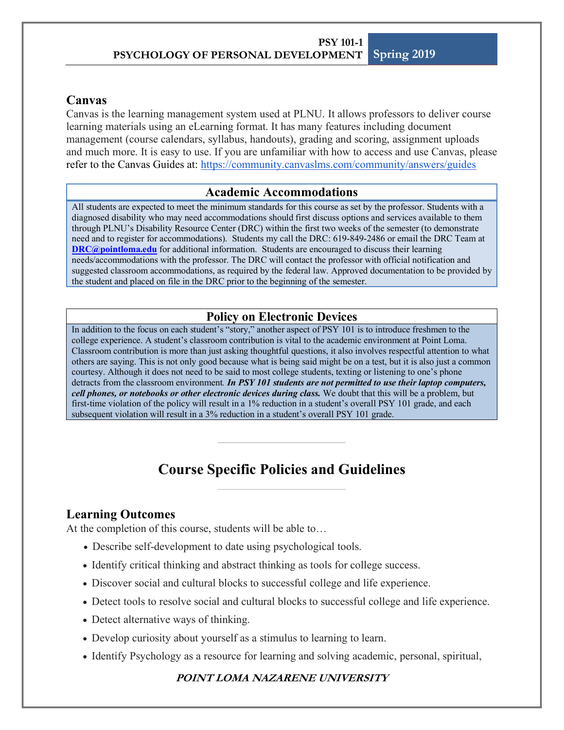## **Canvas**

Canvas is the learning management system used at PLNU. It allows professors to deliver course learning materials using an eLearning format. It has many features including document management (course calendars, syllabus, handouts), grading and scoring, assignment uploads and much more. It is easy to use. If you are unfamiliar with how to access and use Canvas, please refer to the Canvas Guides at: https://community.canvaslms.com/community/answers/guides

## **Academic Accommodations**

All students are expected to meet the minimum standards for this course as set by the professor. Students with a diagnosed disability who may need accommodations should first discuss options and services available to them through PLNU's Disability Resource Center (DRC) within the first two weeks of the semester (to demonstrate need and to register for accommodations). Students my call the DRC: 619-849-2486 or email the DRC Team at **DRC@pointloma.edu** for additional information. Students are encouraged to discuss their learning needs/accommodations with the professor. The DRC will contact the professor with official notification and suggested classroom accommodations, as required by the federal law. Approved documentation to be provided by the student and placed on file in the DRC prior to the beginning of the semester.

## **Policy on Electronic Devices**

In addition to the focus on each student's "story," another aspect of PSY 101 is to introduce freshmen to the college experience. A student's classroom contribution is vital to the academic environment at Point Loma. Classroom contribution is more than just asking thoughtful questions, it also involves respectful attention to what others are saying. This is not only good because what is being said might be on a test, but it is also just a common courtesy. Although it does not need to be said to most college students, texting or listening to one's phone detracts from the classroom environment*. In PSY 101 students are not permitted to use their laptop computers, cell phones, or notebooks or other electronic devices during class.* We doubt that this will be a problem, but first-time violation of the policy will result in a 1% reduction in a student's overall PSY 101 grade, and each subsequent violation will result in a 3% reduction in a student's overall PSY 101 grade.

# **Course Specific Policies and Guidelines**

## **Learning Outcomes**

At the completion of this course, students will be able to…

- Describe self-development to date using psychological tools.
- Identify critical thinking and abstract thinking as tools for college success.
- Discover social and cultural blocks to successful college and life experience.
- Detect tools to resolve social and cultural blocks to successful college and life experience.
- Detect alternative ways of thinking.
- Develop curiosity about yourself as a stimulus to learning to learn.
- Identify Psychology as a resource for learning and solving academic, personal, spiritual,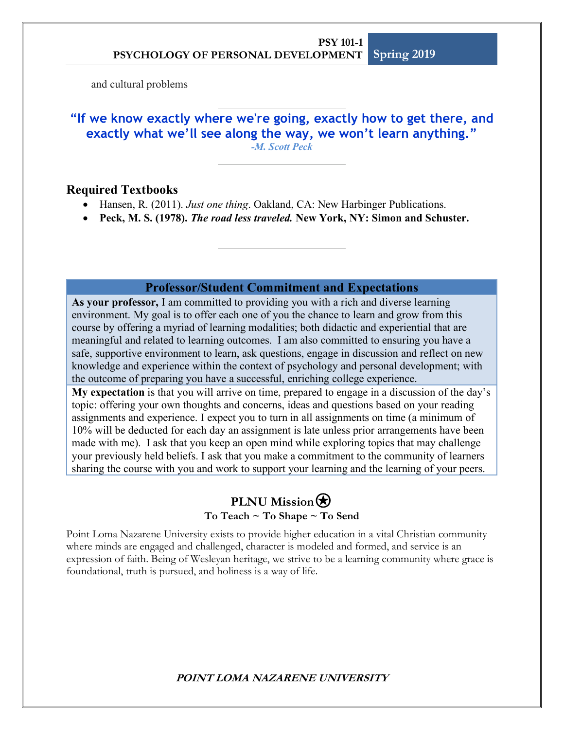and cultural problems

**"If we know exactly where we're going, exactly how to get there, and exactly what we'll see along the way, we won't learn anything."** *-M. Scott Peck*

## **Required Textbooks**

- Hansen, R. (2011). *Just one thing*. Oakland, CA: New Harbinger Publications.
- **Peck, M. S. (1978).** *The road less traveled.* **New York, NY: Simon and Schuster.**

## **Professor/Student Commitment and Expectations**

**As your professor,** I am committed to providing you with a rich and diverse learning environment. My goal is to offer each one of you the chance to learn and grow from this course by offering a myriad of learning modalities; both didactic and experiential that are meaningful and related to learning outcomes. I am also committed to ensuring you have a safe, supportive environment to learn, ask questions, engage in discussion and reflect on new knowledge and experience within the context of psychology and personal development; with the outcome of preparing you have a successful, enriching college experience.

**My expectation** is that you will arrive on time, prepared to engage in a discussion of the day's topic: offering your own thoughts and concerns, ideas and questions based on your reading assignments and experience. I expect you to turn in all assignments on time (a minimum of 10% will be deducted for each day an assignment is late unless prior arrangements have been made with me). I ask that you keep an open mind while exploring topics that may challenge your previously held beliefs. I ask that you make a commitment to the community of learners sharing the course with you and work to support your learning and the learning of your peers.

## **PLNU Mission<b> To Teach ~ To Shape ~ To Send**

Point Loma Nazarene University exists to provide higher education in a vital Christian community where minds are engaged and challenged, character is modeled and formed, and service is an expression of faith. Being of Wesleyan heritage, we strive to be a learning community where grace is foundational, truth is pursued, and holiness is a way of life.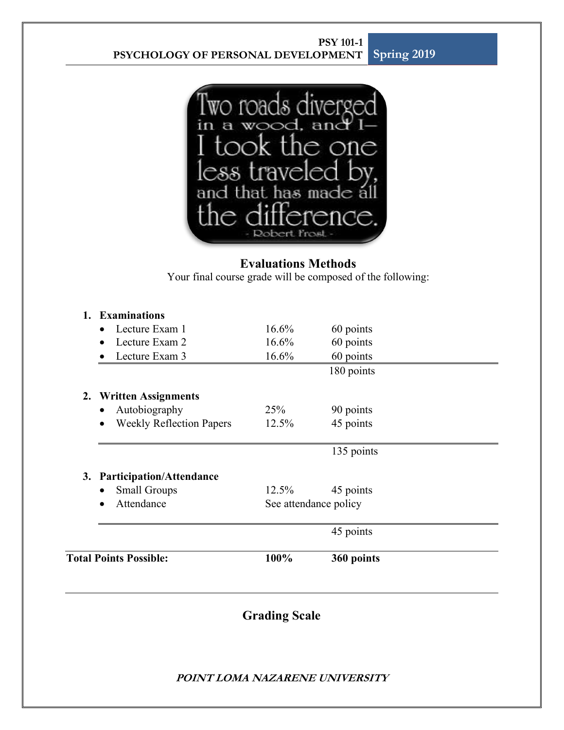

## **Evaluations Methods**

Your final course grade will be composed of the following:

| <b>Total Points Possible:</b> |                                              | 100%     | 360 points            |  |
|-------------------------------|----------------------------------------------|----------|-----------------------|--|
|                               |                                              |          | 45 points             |  |
|                               | Attendance<br>$\bullet$                      |          | See attendance policy |  |
|                               | <b>Small Groups</b><br>$\bullet$             | 12.5%    | 45 points             |  |
|                               | 3. Participation/Attendance                  |          |                       |  |
|                               |                                              |          | 135 points            |  |
|                               | <b>Weekly Reflection Papers</b><br>$\bullet$ | 12.5%    | 45 points             |  |
|                               | Autobiography<br>$\bullet$                   | 25%      | 90 points             |  |
|                               | 2. Written Assignments                       |          |                       |  |
|                               |                                              |          | 180 points            |  |
|                               | Lecture Exam 3                               | 16.6%    | 60 points             |  |
|                               | Lecture Exam 2<br>$\bullet$                  | 16.6%    | 60 points             |  |
|                               | Lecture Exam 1<br>$\bullet$                  | $16.6\%$ | 60 points             |  |
|                               | 1. Examinations                              |          |                       |  |

# **Grading Scale**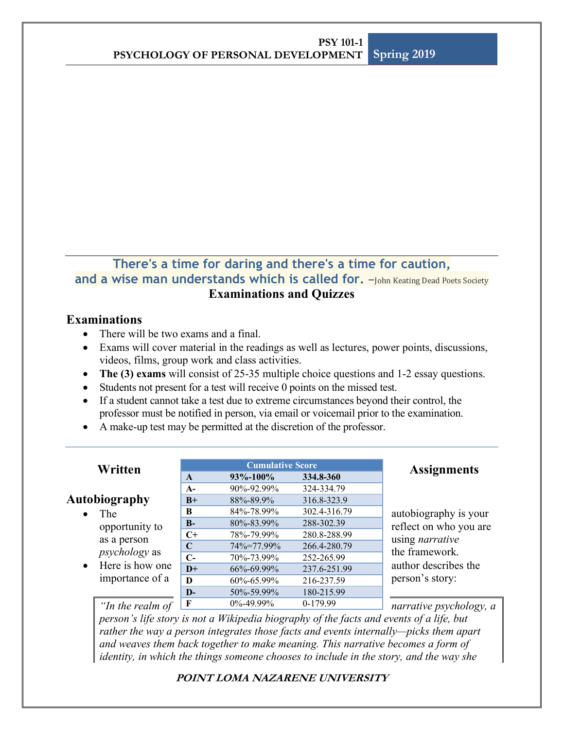## **There's a time for daring and there's a time for caution, and a wise man understands which is called for.**  $-$ Iohn Keating Dead Poets Society **Examinations and Quizzes**

## **Examinations**

- There will be two exams and a final.
- Exams will cover material in the readings as well as lectures, power points, discussions, videos, films, group work and class activities.
- **The (3) exams** will consist of 25-35 multiple choice questions and 1-2 essay questions.
- Students not present for a test will receive 0 points on the missed test.
- If a student cannot take a test due to extreme circumstances beyond their control, the professor must be notified in person, via email or voicemail prior to the examination.
- A make-up test may be permitted at the discretion of the professor.

| Written                                              | <b>Cumulative Score</b> |                  |              | <b>Assignments</b>      |
|------------------------------------------------------|-------------------------|------------------|--------------|-------------------------|
|                                                      | $\mathbf{A}$            | 93%-100%         | 334.8-360    |                         |
|                                                      | $A-$                    | 90%-92.99%       | 324-334.79   |                         |
| <b>Autobiography</b>                                 | $B+$                    | 88%-89.9%        | 316.8-323.9  |                         |
| The<br>opportunity to<br>as a person                 | B                       | 84%-78.99%       | 302.4-316.79 | autobiography is your   |
|                                                      | $B-$                    | 80%-83.99%       | 288-302.39   | reflect on who you are  |
|                                                      | $C+$                    | 78%-79.99%       | 280.8-288.99 | using <i>narrative</i>  |
|                                                      | C                       | 74%=77.99%       | 266.4-280.79 | the framework.          |
| <i>psychology</i> as<br>Here is how one<br>$\bullet$ | $C-$                    | 70\%-73.99\%     | 252-265.99   |                         |
|                                                      | $D+$                    | $66\% - 69.99\%$ | 237.6-251.99 | author describes the    |
| importance of a                                      | D                       | 60%-65.99%       | 216-237.59   | person's story:         |
|                                                      | $\mathbf{D}$            | 50%-59.99%       | 180-215.99   |                         |
| "In the realm of                                     | F                       | $0\% - 49.99\%$  | 0-179.99     | narrative psychology, a |

*person's life story is not a Wikipedia biography of the facts and events of a life, but rather the way a person integrates those facts and events internally—picks them apart and weaves them back together to make meaning. This narrative becomes a form of identity, in which the things someone chooses to include in the story, and the way she*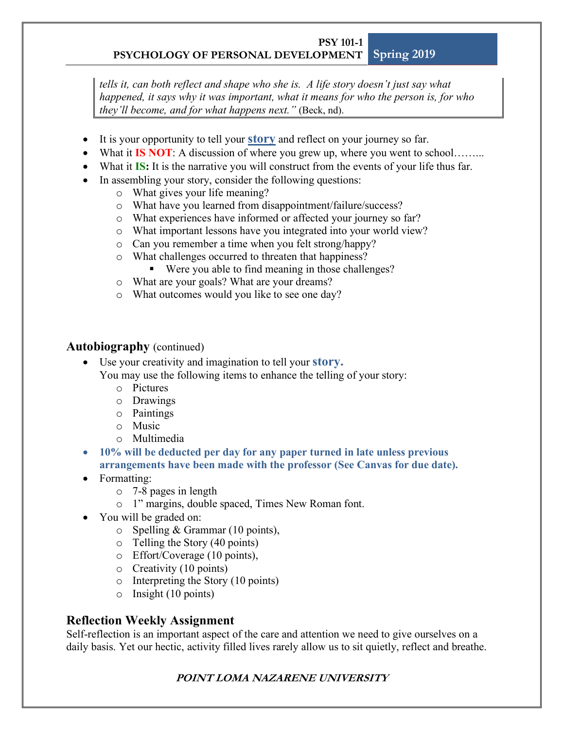*tells it, can both reflect and shape who she is. A life story doesn't just say what happened, it says why it was important, what it means for who the person is, for who they'll become, and for what happens next."* (Beck, nd).

- It is your opportunity to tell your **story** and reflect on your journey so far.
- What it **IS NOT**: A discussion of where you grew up, where you went to school……...
- What it **IS:** It is the narrative you will construct from the events of your life thus far.
- In assembling your story, consider the following questions:
	- o What gives your life meaning?
	- o What have you learned from disappointment/failure/success?
	- o What experiences have informed or affected your journey so far?
	- o What important lessons have you integrated into your world view?
	- o Can you remember a time when you felt strong/happy?
	- o What challenges occurred to threaten that happiness?
		- Were you able to find meaning in those challenges?
	- o What are your goals? What are your dreams?
	- o What outcomes would you like to see one day?

## **Autobiography** (continued)

- Use your creativity and imagination to tell your **story.** 
	- You may use the following items to enhance the telling of your story:
		- o Pictures
		- o Drawings
		- o Paintings
		- o Music
		- o Multimedia
- **10% will be deducted per day for any paper turned in late unless previous arrangements have been made with the professor (See Canvas for due date).**
- Formatting:
	- o 7-8 pages in length
	- o 1" margins, double spaced, Times New Roman font.
- You will be graded on:
	- $\circ$  Spelling & Grammar (10 points),
	- o Telling the Story (40 points)
	- o Effort/Coverage (10 points),
	- o Creativity (10 points)
	- o Interpreting the Story (10 points)
	- o Insight (10 points)

## **Reflection Weekly Assignment**

Self-reflection is an important aspect of the care and attention we need to give ourselves on a daily basis. Yet our hectic, activity filled lives rarely allow us to sit quietly, reflect and breathe.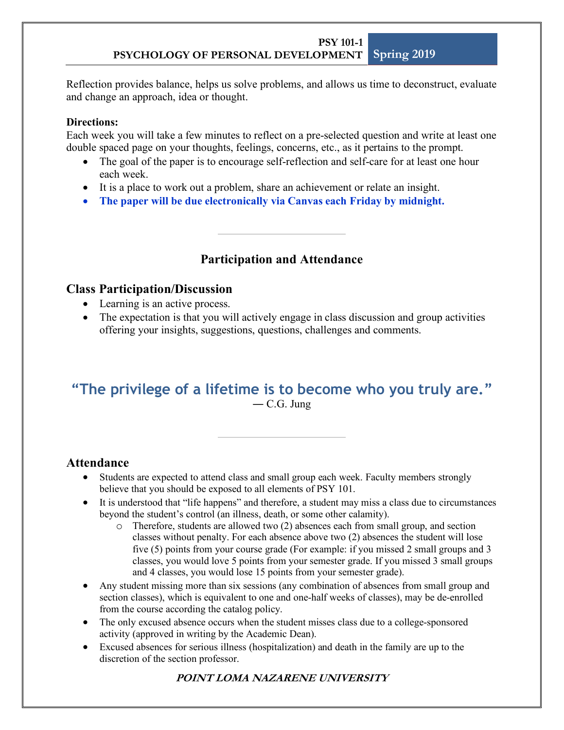Reflection provides balance, helps us solve problems, and allows us time to deconstruct, evaluate and change an approach, idea or thought.

### **Directions:**

Each week you will take a few minutes to reflect on a pre-selected question and write at least one double spaced page on your thoughts, feelings, concerns, etc., as it pertains to the prompt.

- The goal of the paper is to encourage self-reflection and self-care for at least one hour each week.
- It is a place to work out a problem, share an achievement or relate an insight.
- **The paper will be due electronically via Canvas each Friday by midnight.**

## **Participation and Attendance**

## **Class Participation/Discussion**

- Learning is an active process.
- The expectation is that you will actively engage in class discussion and group activities offering your insights, suggestions, questions, challenges and comments.

# **"The privilege of a lifetime is to become who you truly are."**― C.G. Jung

## **Attendance**

- Students are expected to attend class and small group each week. Faculty members strongly believe that you should be exposed to all elements of PSY 101.
- It is understood that "life happens" and therefore, a student may miss a class due to circumstances beyond the student's control (an illness, death, or some other calamity).
	- o Therefore, students are allowed two (2) absences each from small group, and section classes without penalty. For each absence above two (2) absences the student will lose five (5) points from your course grade (For example: if you missed 2 small groups and 3 classes, you would love 5 points from your semester grade. If you missed 3 small groups and 4 classes, you would lose 15 points from your semester grade).
- Any student missing more than six sessions (any combination of absences from small group and section classes), which is equivalent to one and one-half weeks of classes), may be de-enrolled from the course according the catalog policy.
- The only excused absence occurs when the student misses class due to a college-sponsored activity (approved in writing by the Academic Dean).
- Excused absences for serious illness (hospitalization) and death in the family are up to the discretion of the section professor.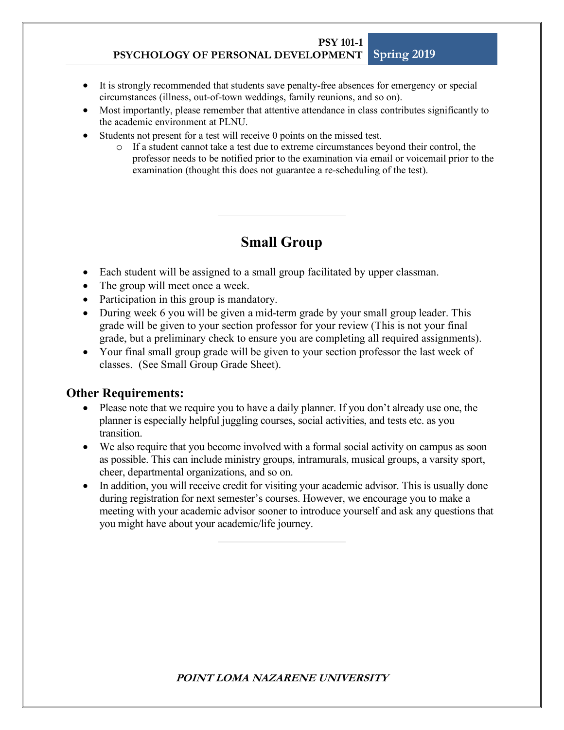- It is strongly recommended that students save penalty-free absences for emergency or special circumstances (illness, out-of-town weddings, family reunions, and so on).
- Most importantly, please remember that attentive attendance in class contributes significantly to the academic environment at PLNU.
- Students not present for a test will receive 0 points on the missed test.
	- o If a student cannot take a test due to extreme circumstances beyond their control, the professor needs to be notified prior to the examination via email or voicemail prior to the examination (thought this does not guarantee a re-scheduling of the test).

# **Small Group**

- Each student will be assigned to a small group facilitated by upper classman.
- The group will meet once a week.
- Participation in this group is mandatory.
- During week 6 you will be given a mid-term grade by your small group leader. This grade will be given to your section professor for your review (This is not your final grade, but a preliminary check to ensure you are completing all required assignments).
- Your final small group grade will be given to your section professor the last week of classes. (See Small Group Grade Sheet).

## **Other Requirements:**

- Please note that we require you to have a daily planner. If you don't already use one, the planner is especially helpful juggling courses, social activities, and tests etc. as you transition.
- We also require that you become involved with a formal social activity on campus as soon as possible. This can include ministry groups, intramurals, musical groups, a varsity sport, cheer, departmental organizations, and so on.
- In addition, you will receive credit for visiting your academic advisor. This is usually done during registration for next semester's courses. However, we encourage you to make a meeting with your academic advisor sooner to introduce yourself and ask any questions that you might have about your academic/life journey.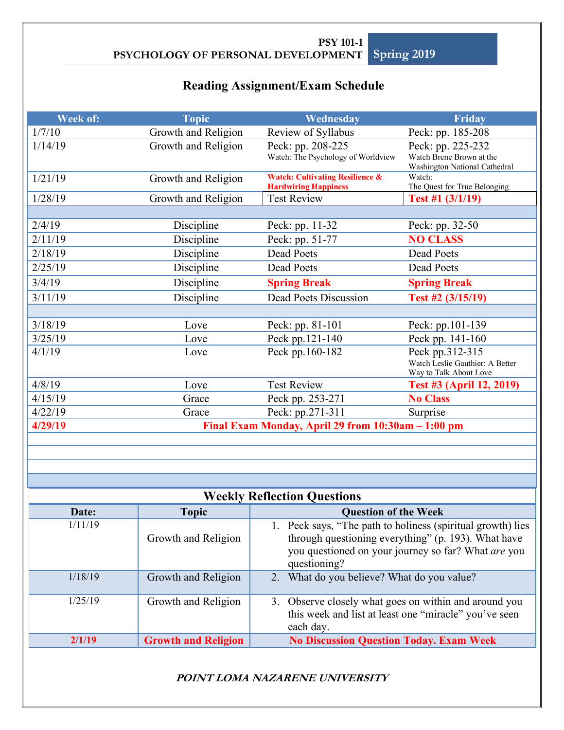# **Reading Assignment/Exam Schedule**

| Week of: | <b>Topic</b>               | Wednesday                                                                                                                                                                                 | Friday                                                                       |
|----------|----------------------------|-------------------------------------------------------------------------------------------------------------------------------------------------------------------------------------------|------------------------------------------------------------------------------|
| 1/7/10   | Growth and Religion        | Review of Syllabus                                                                                                                                                                        | Peck: pp. 185-208                                                            |
| 1/14/19  | Growth and Religion        | Peck: pp. 208-225<br>Peck: pp. 225-232<br>Watch: The Psychology of Worldview<br>Watch Brene Brown at the<br>Washington National Cathedral                                                 |                                                                              |
| 1/21/19  | Growth and Religion        | <b>Watch: Cultivating Resilience &amp;</b><br><b>Hardwiring Happiness</b>                                                                                                                 | Watch:<br>The Quest for True Belonging                                       |
| 1/28/19  | Growth and Religion        | <b>Test Review</b>                                                                                                                                                                        | Test #1 (3/1/19)                                                             |
|          |                            |                                                                                                                                                                                           |                                                                              |
| 2/4/19   | Discipline                 | Peck: pp. 11-32                                                                                                                                                                           | Peck: pp. 32-50                                                              |
| 2/11/19  | Discipline                 | Peck: pp. 51-77                                                                                                                                                                           | <b>NO CLASS</b>                                                              |
| 2/18/19  | Discipline                 | <b>Dead Poets</b>                                                                                                                                                                         | <b>Dead Poets</b>                                                            |
| 2/25/19  | Discipline                 | Dead Poets                                                                                                                                                                                | Dead Poets                                                                   |
| 3/4/19   | Discipline                 | <b>Spring Break</b>                                                                                                                                                                       | <b>Spring Break</b>                                                          |
| 3/11/19  | Discipline                 | <b>Dead Poets Discussion</b>                                                                                                                                                              | Test #2 (3/15/19)                                                            |
|          |                            |                                                                                                                                                                                           |                                                                              |
| 3/18/19  | Love                       | Peck: pp. 81-101                                                                                                                                                                          | Peck: pp.101-139                                                             |
| 3/25/19  | Love                       | Peck pp.121-140                                                                                                                                                                           | Peck pp. 141-160                                                             |
| 4/1/19   | Love                       | Peck pp.160-182                                                                                                                                                                           | Peck pp.312-315<br>Watch Leslie Gauthier: A Better<br>Way to Talk About Love |
| 4/8/19   | Love                       | <b>Test Review</b>                                                                                                                                                                        | Test #3 (April 12, 2019)                                                     |
| 4/15/19  | Grace                      | Peck pp. 253-271<br><b>No Class</b>                                                                                                                                                       |                                                                              |
| 4/22/19  | Grace                      | Peck: pp.271-311<br>Surprise                                                                                                                                                              |                                                                              |
| 4/29/19  |                            | Final Exam Monday, April 29 from 10:30am - 1:00 pm                                                                                                                                        |                                                                              |
|          |                            |                                                                                                                                                                                           |                                                                              |
|          |                            |                                                                                                                                                                                           |                                                                              |
|          |                            |                                                                                                                                                                                           |                                                                              |
|          |                            |                                                                                                                                                                                           |                                                                              |
|          |                            | <b>Weekly Reflection Questions</b>                                                                                                                                                        |                                                                              |
| Date:    | <b>Topic</b>               | <b>Question of the Week</b>                                                                                                                                                               |                                                                              |
| 1/11/19  | Growth and Religion        | 1. Peck says, "The path to holiness (spiritual growth) lies<br>through questioning everything" (p. 193). What have<br>you questioned on your journey so far? What are you<br>questioning? |                                                                              |
| 1/18/19  | Growth and Religion        | 2. What do you believe? What do you value?                                                                                                                                                |                                                                              |
| 1/25/19  | Growth and Religion        | 3. Observe closely what goes on within and around you<br>this week and list at least one "miracle" you've seen<br>each day.                                                               |                                                                              |
| 2/1/19   | <b>Growth and Religion</b> | <b>No Discussion Question Today. Exam Week</b>                                                                                                                                            |                                                                              |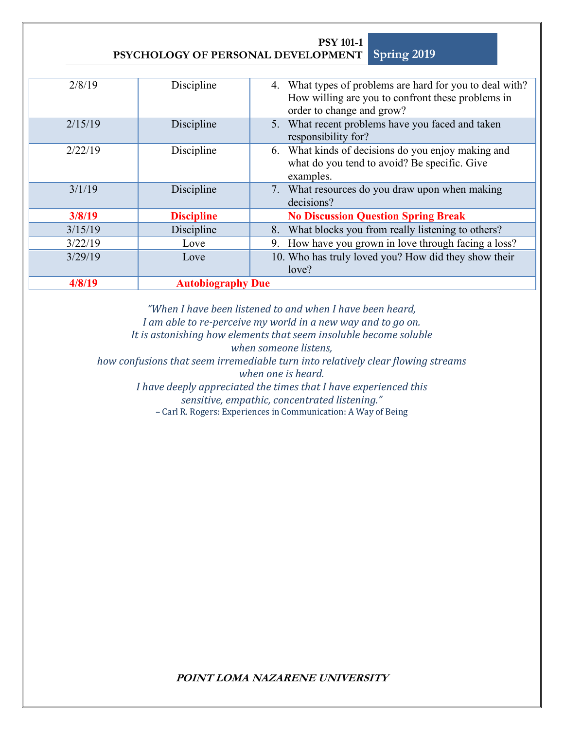| 2/8/19  | Discipline               | 4. What types of problems are hard for you to deal with?<br>How willing are you to confront these problems in<br>order to change and grow? |
|---------|--------------------------|--------------------------------------------------------------------------------------------------------------------------------------------|
| 2/15/19 | Discipline               | 5. What recent problems have you faced and taken<br>responsibility for?                                                                    |
| 2/22/19 | Discipline               | 6. What kinds of decisions do you enjoy making and<br>what do you tend to avoid? Be specific. Give<br>examples.                            |
| 3/1/19  | Discipline               | 7. What resources do you draw upon when making<br>decisions?                                                                               |
| 3/8/19  | <b>Discipline</b>        | <b>No Discussion Question Spring Break</b>                                                                                                 |
| 3/15/19 | Discipline               | What blocks you from really listening to others?<br>8.                                                                                     |
| 3/22/19 | Love                     | How have you grown in love through facing a loss?<br>9.                                                                                    |
| 3/29/19 | Love                     | 10. Who has truly loved you? How did they show their<br>love?                                                                              |
| 4/8/19  | <b>Autobiography Due</b> |                                                                                                                                            |

**PSY 101-1**

*"When I have been listened to and when I have been heard, I* am able to re-perceive my world in a new way and to go on.

It is astonishing how elements that seem insoluble become soluble

when someone listens,

*how confusions that seem irremediable turn into relatively clear flowing streams* 

when one is heard.

*I* have deeply appreciated the times that *I* have experienced this

*sensitive, empathic, concentrated listening."*

**–** Carl R. Rogers: Experiences in Communication: A Way of Being